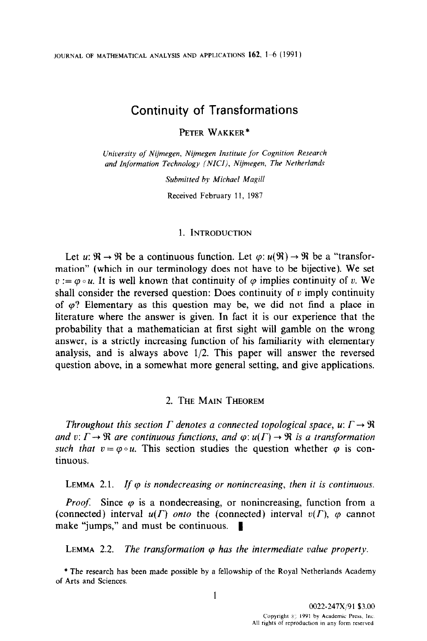JOURNAL OF MATHEMATICAL ANALYSIS AND APPLICATIONS  $162$ ,  $1-6$  (1991)

# Continuity of Transformations

PETER WAKKER\*

University of Nijmegen, Nijmegen Institute for Cognition Research and Information Technology (NICI), Nijmegen, The Netherlands

Submitted by Michael Magill

Received February 11, 1987

## 1. INTRODUCTION

Let  $u: \mathbb{R} \to \mathbb{R}$  be a continuous function. Let  $\varphi: u(\mathbb{R}) \to \mathbb{R}$  be a "transformation" (which in our terminology does not have to be bijective). We set  $v := \varphi \circ u$ . It is well known that continuity of  $\varphi$  implies continuity of v. We shall consider the reversed question: Does continuity of  $v$  imply continuity of  $\varphi$ ? Elementary as this question may be, we did not find a place in literature where the answer is given. In fact it is our experience that the probability that a mathematician at first sight will gamble on the wrong answer, is a strictly increasing function of his familiarity with elementary analysis, and is always above l/2. This paper will answer the reversed question above, in a somewhat more general setting, and give applications.

## 2. THE MAIN THEOREM

Throughout this section  $\Gamma$  denotes a connected topological space,  $u: \Gamma \rightarrow \mathbb{R}$ and v:  $\Gamma \rightarrow \Re$  are continuous functions, and  $\varphi: u(\Gamma) \rightarrow \Re$  is a transformation such that  $v = \varphi \circ u$ . This section studies the question whether  $\varphi$  is continuous.

LEMMA 2.1. If  $\varphi$  is nondecreasing or nonincreasing, then it is continuous.

*Proof.* Since  $\varphi$  is a nondecreasing, or nonincreasing, function from a (connected) interval  $u(\Gamma)$  *onto* the (connected) interval  $v(\Gamma)$ ,  $\varphi$  cannot make "jumps," and must be continuous.  $\blacksquare$ 

LEMMA 2.2. The transformation  $\varphi$  has the intermediate value property.

\* The research has been made possible by a fellowship of the Royal Netherlands Academy of Arts and Sciences.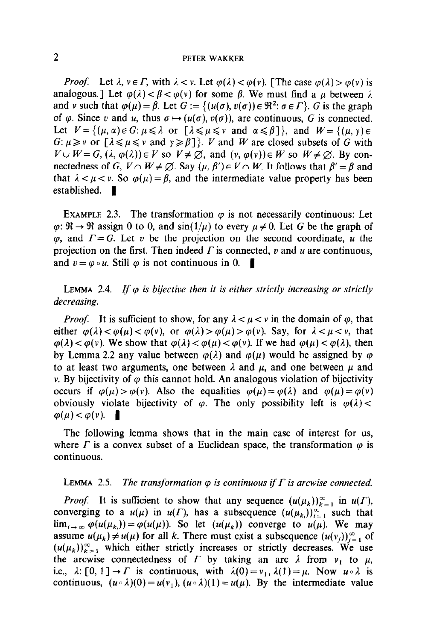#### PETER WAKKER

*Proof.* Let  $\lambda$ ,  $v \in \Gamma$ , with  $\lambda < v$ . Let  $\varphi(\lambda) < \varphi(v)$ . [The case  $\varphi(\lambda) > \varphi(v)$  is analogous.] Let  $\varphi(\lambda) < \beta < \varphi(\nu)$  for some  $\beta$ . We must find a  $\mu$  between  $\lambda$ and v such that  $\varphi(\mu) = \beta$ . Let  $G := \{(u(\sigma), v(\sigma)) \in \Re^2 : \sigma \in \Gamma\}$ . G is the graph of  $\varphi$ . Since v and u, thus  $\sigma \mapsto (u(\sigma), v(\sigma))$ , are continuous, G is connected. Let  $V = \{(\mu, \alpha) \in G : \mu \leq \lambda \text{ or } [\lambda \leq \mu \leq \nu \text{ and } \alpha \leq \beta] \}$ , and  $W = \{(\mu, \gamma) \in$  $G: \mu \geq v$  or  $[\lambda \leq \mu \leq v \text{ and } \gamma \geq \beta]$ . *V* and *W* are closed subsets of *G* with  $V \cup W = G$ ,  $(\lambda, \varphi(\lambda)) \in V$  so  $V \neq \emptyset$ , and  $(v, \varphi(v)) \in W$  so  $W \neq \emptyset$ . By connectedness of G,  $V \cap W \neq \emptyset$ . Say  $(\mu, \beta') \in V \cap W$ . It follows that  $\beta' = \beta$  and that  $\lambda < \mu < v$ . So  $\varphi(\mu) = \beta$ , and the intermediate value property has been established.  $\blacksquare$ 

EXAMPLE 2.3. The transformation  $\varphi$  is not necessarily continuous: Let  $\varphi$ :  $\mathfrak{R} \to \mathfrak{R}$  assign 0 to 0, and sin( $1/\mu$ ) to every  $\mu \neq 0$ . Let G be the graph of  $\varphi$ , and  $\Gamma = G$ . Let v be the projection on the second coordinate, u the projection on the first. Then indeed  $\Gamma$  is connected,  $\nu$  and  $\mu$  are continuous, and  $v = \varphi \circ u$ . Still  $\varphi$  is not continuous in 0.

LEMMA 2.4. If  $\varphi$  is bijective then it is either strictly increasing or strictly decreasing.

*Proof.* It is sufficient to show, for any  $\lambda < \mu < \nu$  in the domain of  $\varphi$ , that either  $\varphi(\lambda) < \varphi(\mu) < \varphi(\nu)$ , or  $\varphi(\lambda) > \varphi(\mu) > \varphi(\nu)$ . Say, for  $\lambda < \mu < \nu$ , that  $\varphi(\lambda) < \varphi(\nu)$ . We show that  $\varphi(\lambda) < \varphi(\mu) < \varphi(\nu)$ . If we had  $\varphi(\mu) < \varphi(\lambda)$ , then by Lemma 2.2 any value between  $\varphi(\lambda)$  and  $\varphi(\mu)$  would be assigned by  $\varphi$ to at least two arguments, one between  $\lambda$  and  $\mu$ , and one between  $\mu$  and v. By bijectivity of  $\varphi$  this cannot hold. An analogous violation of bijectivity occurs if  $\varphi(\mu) > \varphi(\nu)$ . Also the equalities  $\varphi(\mu) = \varphi(\lambda)$  and  $\varphi(\mu) = \varphi(\nu)$ obviously violate bijectivity of  $\varphi$ . The only possibility left is  $\varphi(\lambda)$  <  $\varphi(\mu) < \varphi(\nu)$ .

The following lemma shows that in the main case of interest for us, where  $\Gamma$  is a convex subset of a Euclidean space, the transformation  $\varphi$  is continuous.

### LEMMA 2.5. The transformation  $\varphi$  is continuous if  $\Gamma$  is arcwise connected.

*Proof.* It is sufficient to show that any sequence  $(u(\mu_k))_{k=1}^{\infty}$  in  $u(\Gamma)$ , converging to a  $u(\mu)$  in  $u(\Gamma)$ , has a subsequence  $(u(\mu_{k_i}))_{i=1}^{\infty}$  such that  $\lim_{i \to \infty} \varphi(u(\mu_k)) = \varphi(u(\mu))$ . So let  $(u(\mu_k))$  converge to  $u(\mu)$ . We may assume  $u(\mu_k) \neq u(\mu)$  for all k. There must exist a subsequence  $(u(v_i))_{i=1}^{\infty}$  of  $(u(\mu_k))_{k=1}^{\infty}$  which either strictly increases or strictly decreases. We use the arcwise connectedness of  $\Gamma$  by taking an arc  $\lambda$  from  $v_1$  to  $\mu$ , i.e.,  $\lambda: [0, 1] \to \Gamma$  is continuous, with  $\lambda(0) = v_1, \lambda(1) = \mu$ . Now  $u \circ \lambda$  is continuous,  $(u \circ \lambda)(0) = u(v_1)$ ,  $(u \circ \lambda)(1) = u(\mu)$ . By the intermediate value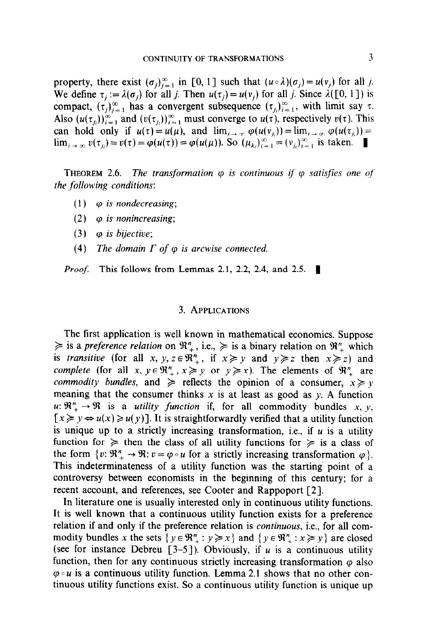property, there exist  $(\sigma_i)_{i=1}^{\infty}$  in [0, 1] such that  $(u \circ \lambda)(\sigma_j) = u(v_j)$  for all j. We define  $\tau_j := \lambda(\sigma_j)$  for all j. Then  $u(\tau_j) = u(\nu_j)$  for all j. Since  $\lambda([0, 1])$  is compact,  $(\tau_j)_{i=1}^{\infty}$  has a convergent subsequence  $(\tau_j)_{i=1}^{\infty}$ , with limit say  $\tau$ . Also  $(u(\tau_{ii}))_{i=1}^{\infty}$  and  $(v(\tau_{ii}))_{i=1}^{\infty}$  must converge to  $u(\tau)$ , respectively  $v(\tau)$ . This can hold only if  $u(\tau) = u(\mu)$ , and  $\lim_{i \to \infty} \varphi(u(\nu_{i})) = \lim_{i \to \infty} \varphi(u(\tau_{i})) =$  $\lim_{i \to \infty} v(\tau_i) = v(\tau) = \varphi(u(\tau)) = \varphi(u(\mu))$ . So  $(\mu_k)_{k=1}^{\infty} = (v_k)_{k=1}^{\infty}$  is taken.

**THEOREM 2.6.** The transformation  $\varphi$  is continuous if  $\varphi$  satisfies one of the following conditions:

- (1)  $\varphi$  is nondecreasing;
- (2)  $\varphi$  is nonincreasing;
- (3)  $\varphi$  is bijective;
- (4) The domain  $\Gamma$  of  $\varphi$  is arcwise connected.

*Proof.* This follows from Lemmas 2.1, 2.2, 2.4, and 2.5.  $\blacksquare$ 

#### 3. APPLICATIONS

The first application is well known in mathematical economics. Suppose  $\geq$  is a preference relation on  $\mathbb{R}^n_+$ , i.e.,  $\geq$  is a binary relation on  $\mathbb{R}^n_+$  which is transitive (for all x, y,  $z \in \mathbb{R}^n$ , if  $x \geq y$  and  $y \geq z$  then  $x \geq z$ ) and complete (for all x,  $y \in \mathbb{R}^n$ ,  $x \geq y$  or  $y \geq x$ ). The elements of  $\mathbb{R}^n$  are commodity bundles, and  $\geq$  reflects the opinion of a consumer,  $x \geq y$ meaning that the consumer thinks x is at least as good as y. A function  $u: \mathbb{R}^n_+ \to \mathbb{R}$  is a *utility function* if, for all commodity bundles x, y,  $[x \geq y \Leftrightarrow u(x) \geq u(y)]$ . It is straightforwardly verified that a utility function is unique up to a strictly increasing transformation, i.e., if  $u$  is a utility function for  $\geq$  then the class of all utility functions for  $\geq$  is a class of the form  $\{v: \mathbb{R}^n_+ \to \mathbb{R} : v = \varphi \circ u \text{ for a strictly increasing transformation } \varphi \}.$ This indeterminateness of a utility function was the starting point of a controversy between economists in the beginning of this century; for a recent account, and references, see Cooter and Rappoport [2].

In literature one is usually interested only in continuous utility functions. It is well known that a continuous utility function exists for a preference relation if and only if the preference relation is continuous, i.e., for all commodity bundles x the sets  $\{y \in \mathbb{R}_+^n : y \ge x\}$  and  $\{y \in \mathbb{R}_+^n : x \ge y\}$  are closed (see for instance Debreu [3-5]). Obviously, if u is a continuous utility function, then for any continuous strictly increasing transformation  $\varphi$  also  $\varphi \circ u$  is a continuous utility function. Lemma 2.1 shows that no other continuous utility functions exist. So a continuous utility function is unique up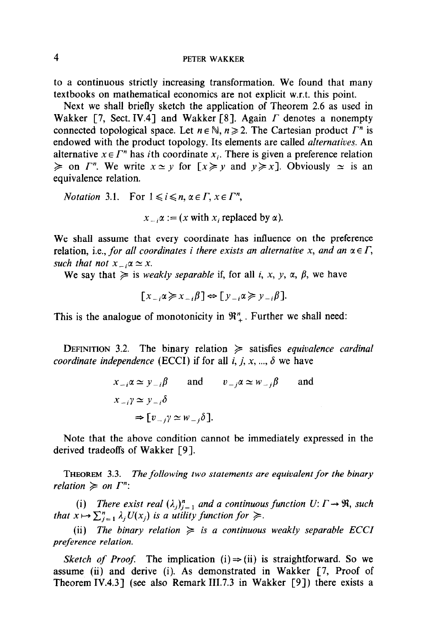4 PETER WAKKER

to a continuous strictly increasing transformation. We found that many textbooks on mathematical economics are not explicit w.r.t. this point.

Next we shall briefly sketch the application of Theorem 2.6 as used in Wakker [7, Sect. IV.4] and Wakker [8]. Again  $\Gamma$  denotes a nonempty connected topological space. Let  $n \in \mathbb{N}$ ,  $n \ge 2$ . The Cartesian product  $\Gamma^n$  is endowed with the product topology. Its elements are called *alternatives*. An alternative  $x \in \Gamma^n$  has *i*th coordinate  $x_i$ . There is given a preference relation  $\geq$  on  $\Gamma^n$ . We write  $x \simeq y$  for  $[x \geq y]$  and  $y \geq x$ . Obviously  $\sim$  is an equivalence relation.

*Notation* 3.1. For  $1 \le i \le n, \alpha \in \Gamma, x \in \Gamma^n$ ,

 $x_{-}a := (x \text{ with } x_i \text{ replaced by } a).$ 

We shall assume that every coordinate has influence on the preference relation, i.e., for all coordinates i there exists an alternative x, and an  $\alpha \in \Gamma$ , such that not  $x_{-i} \alpha \simeq x$ .

We say that  $\geq$  is *weakly separable* if, for all i, x, y,  $\alpha$ ,  $\beta$ , we have

 $[x \rightarrow \alpha \geq x \rightarrow \beta] \Leftrightarrow [y \rightarrow \alpha \geq y \rightarrow \beta].$ 

This is the analogue of monotonicity in  $\mathfrak{R}_{+}^{n}$ . Further we shall need:

DEFINITION 3.2. The binary relation  $\geq$  satisfies equivalence cardinal coordinate independence (ECCI) if for all i, j, x, ...,  $\delta$  we have

> $x_{-i}\alpha \simeq y_{-i}\beta$  and  $v_{-i}\alpha \simeq w_{-i}\beta$  and  $x_{-i}y \simeq y_{-i}\delta$  $\Rightarrow [v_{-i}\gamma \simeq w_{-i}\delta].$

Note that the above condition cannot be immediately expressed in the derived tradeoffs of Wakker [9].

THEOREM 3.3. The following two statements are equivalent for the binary relation  $\geq$  on  $\Gamma^n$ :

(i) There exist real  $(\lambda_j)_{j=1}^n$  and a continuous function  $U: \Gamma \to \mathfrak{R}$ , such that  $x \mapsto \sum_{i=1}^n \lambda_i U(x_i)$  is a utility function for  $\geq$ .

(ii) The binary relation  $\geq$  is a continuous weakly separable ECCI preference relation.

Sketch of Proof. The implication (i)  $\Rightarrow$  (ii) is straightforward. So we assume (ii) and derive (i). As demonstrated in Wakker [7, Proof of Theorem IV.4.3] (see also Remark III.7.3 in Wakker  $[9]$ ) there exists a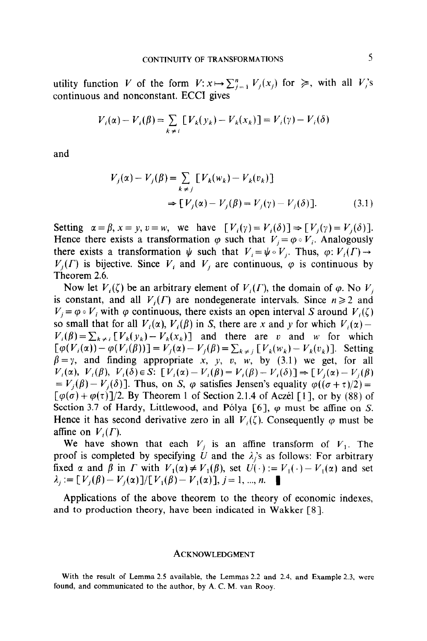utility function V of the form  $V: x \mapsto \sum_{i=1}^n V_i(x_i)$  for  $\geq$ , with all  $V_i$ 's continuous and nonconstant. ECCI gives

$$
V_i(\alpha) - V_i(\beta) = \sum_{k \neq i} [V_k(y_k) - V_k(x_k)] = V_i(\gamma) - V_i(\delta)
$$

and

$$
V_j(\alpha) - V_j(\beta) = \sum_{k \neq j} [V_k(w_k) - V_k(v_k)]
$$
  
\n
$$
\Rightarrow [V_j(\alpha) - V_j(\beta) = V_j(\gamma) - V_j(\delta)].
$$
\n(3.1)

Setting  $\alpha = \beta$ ,  $x = y$ ,  $v = w$ , we have  $[V_i(y) = V_i(\delta)] \Rightarrow [V_i(y) = V_i(\delta)].$ Hence there exists a transformation  $\varphi$  such that  $V_i = \varphi \circ V_i$ . Analogously there exists a transformation  $\psi$  such that  $V_i = \psi \circ V_j$ . Thus,  $\varphi: V_i(\Gamma) \to$  $V_i(\Gamma)$  is bijective. Since  $V_i$  and  $V_j$  are continuous,  $\varphi$  is continuous by Theorem 2.6.

Now let  $V_i(\zeta)$  be an arbitrary element of  $V_i(\Gamma)$ , the domain of  $\varphi$ . No  $V_i$ is constant, and all  $V_i(\Gamma)$  are nondegenerate intervals. Since  $n \geq 2$  and  $V_i = \varphi \circ V_i$  with  $\varphi$  continuous, there exists an open interval S around  $V_i(\zeta)$ so small that for all  $V_i(\alpha)$ ,  $V_i(\beta)$  in S, there are x and y for which  $V_i(\alpha)$  - $V_i(\beta) = \sum_{k \neq i} [V_k(y_k) - V_k(x_k)]$  and there are v and w for which  $[\varphi(V_i(\alpha))-\varphi(V_i(\beta))] = V_i(\alpha)- V_j(\beta)=\sum_{k\neq i} [V_k(w_k)- V_k(v_k)]$ . Setting  $\beta = \gamma$ , and finding appropriate x, y, v, w, by (3.1) we get, for all  $V_i(\alpha)$ ,  $V_i(\beta)$ ,  $V_i(\delta) \in S$ :  $[V_i(\alpha) - V_i(\beta)] = V_i(\beta) - V_i(\delta)] \Rightarrow [V_i(\alpha) - V_i(\beta)]$  $= V_i(\beta) - V_i(\delta)$ . Thus, on S,  $\varphi$  satisfies Jensen's equality  $\varphi((\sigma + \tau)/2) =$  $[\varphi(\sigma) + \varphi(\tau)]/2$ . By Theorem 1 of Section 2.1.4 of Aczél [1], or by (88) of Section 3.7 of Hardy, Littlewood, and Pólya [6],  $\varphi$  must be affine on S. Hence it has second derivative zero in all  $V_i(\zeta)$ . Consequently  $\varphi$  must be affine on  $V_i(\Gamma)$ .

We have shown that each  $V_i$  is an affine transform of  $V_1$ . The proof is completed by specifying U and the  $\lambda_i$ 's as follows: For arbitrary fixed  $\alpha$  and  $\beta$  in  $\Gamma$  with  $V_1(\alpha) \neq V_1(\beta)$ , set  $U(\cdot) := V_1(\cdot) - V_1(\alpha)$  and set  $\lambda_i := [V_i(\beta) - V_i(\alpha)]/[V_1(\beta) - V_1(\alpha)]$ , j = 1, ..., n.

Applications of the above theorem to the theory of economic indexes, and to production theory, have been indicated in Wakker [S].

#### ACKNOWLEDGMENT

With the result of Lemma 2.5 available, the Lemmas 2.2 and 2.4, and Example 2.3, were found, and communicated to the author, by A. C. M. van Rooy.